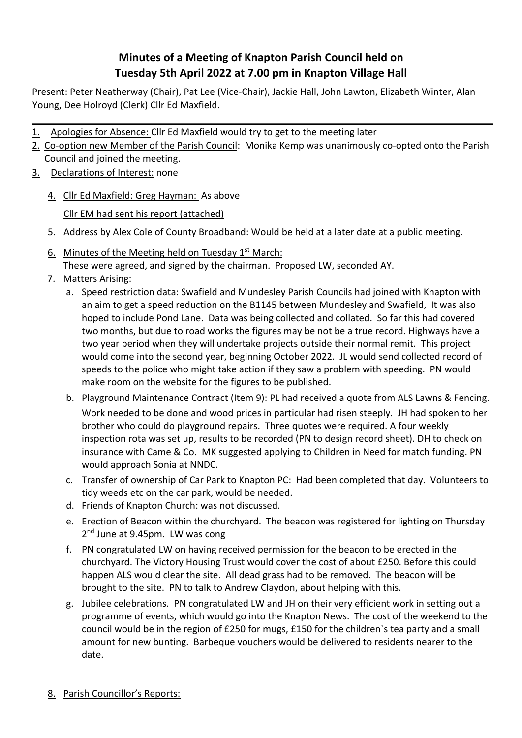## **Minutes of a Meeting of Knapton Parish Council held on Tuesday 5th April 2022 at 7.00 pm in Knapton Village Hall**

Present: Peter Neatherway (Chair), Pat Lee (Vice-Chair), Jackie Hall, John Lawton, Elizabeth Winter, Alan Young, Dee Holroyd (Clerk) Cllr Ed Maxfield.

- 1. Apologies for Absence: Cllr Ed Maxfield would try to get to the meeting later
- 2. Co-option new Member of the Parish Council: Monika Kemp was unanimously co-opted onto the Parish Council and joined the meeting.
- 3. Declarations of Interest: none
	- 4. Cllr Ed Maxfield: Greg Hayman: As above

Cllr EM had sent his report (attached)

- 5. Address by Alex Cole of County Broadband: Would be held at a later date at a public meeting.
- 6. Minutes of the Meeting held on Tuesday  $1<sup>st</sup>$  March: These were agreed, and signed by the chairman. Proposed LW, seconded AY.
- 7. Matters Arising:
	- a. Speed restriction data: Swafield and Mundesley Parish Councils had joined with Knapton with an aim to get a speed reduction on the B1145 between Mundesley and Swafield, It was also hoped to include Pond Lane. Data was being collected and collated. So far this had covered two months, but due to road works the figures may be not be a true record. Highways have a two year period when they will undertake projects outside their normal remit. This project would come into the second year, beginning October 2022. JL would send collected record of speeds to the police who might take action if they saw a problem with speeding. PN would make room on the website for the figures to be published.
	- b. Playground Maintenance Contract (Item 9): PL had received a quote from ALS Lawns & Fencing. Work needed to be done and wood prices in particular had risen steeply. JH had spoken to her brother who could do playground repairs. Three quotes were required. A four weekly inspection rota was set up, results to be recorded (PN to design record sheet). DH to check on insurance with Came & Co. MK suggested applying to Children in Need for match funding. PN would approach Sonia at NNDC.
	- c. Transfer of ownership of Car Park to Knapton PC: Had been completed that day. Volunteers to tidy weeds etc on the car park, would be needed.
	- d. Friends of Knapton Church: was not discussed.
	- e. Erection of Beacon within the churchyard. The beacon was registered for lighting on Thursday 2<sup>nd</sup> June at 9.45pm. LW was cong
	- f. PN congratulated LW on having received permission for the beacon to be erected in the churchyard. The Victory Housing Trust would cover the cost of about £250. Before this could happen ALS would clear the site. All dead grass had to be removed. The beacon will be brought to the site. PN to talk to Andrew Claydon, about helping with this.
	- g. Jubilee celebrations. PN congratulated LW and JH on their very efficient work in setting out a programme of events, which would go into the Knapton News. The cost of the weekend to the council would be in the region of £250 for mugs, £150 for the children`s tea party and a small amount for new bunting. Barbeque vouchers would be delivered to residents nearer to the date.
- 8. Parish Councillor's Reports: